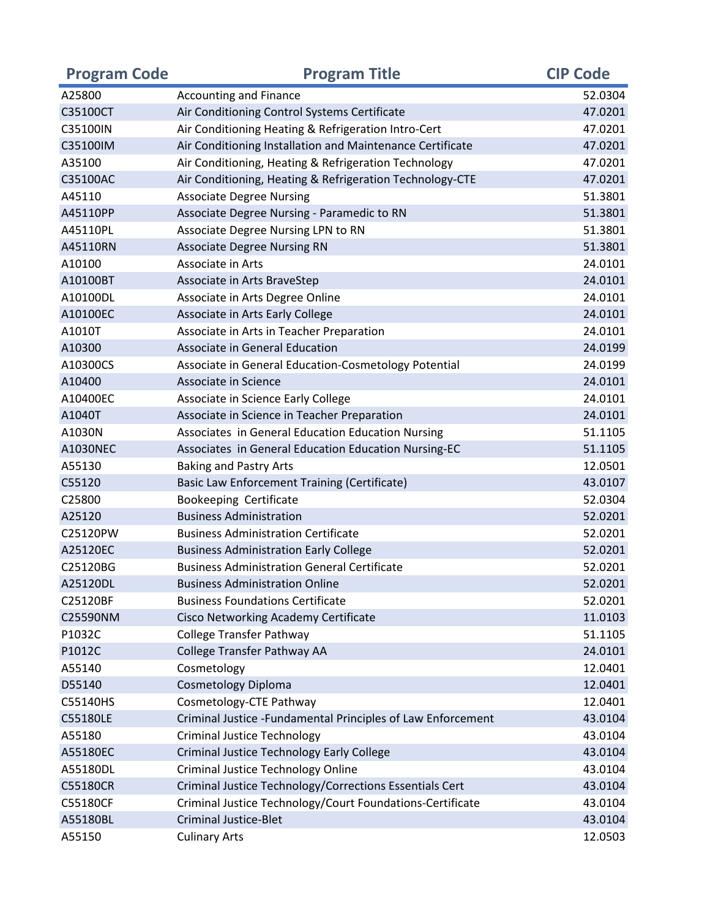| <b>Program Code</b> | <b>Program Title</b>                                         | <b>CIP Code</b> |
|---------------------|--------------------------------------------------------------|-----------------|
| A25800              | <b>Accounting and Finance</b>                                | 52.0304         |
| C35100CT            | Air Conditioning Control Systems Certificate                 | 47.0201         |
| C35100IN            | Air Conditioning Heating & Refrigeration Intro-Cert          | 47.0201         |
| C35100IM            | Air Conditioning Installation and Maintenance Certificate    | 47.0201         |
| A35100              | Air Conditioning, Heating & Refrigeration Technology         | 47.0201         |
| C35100AC            | Air Conditioning, Heating & Refrigeration Technology-CTE     | 47.0201         |
| A45110              | <b>Associate Degree Nursing</b>                              | 51.3801         |
| A45110PP            | Associate Degree Nursing - Paramedic to RN                   | 51.3801         |
| A45110PL            | Associate Degree Nursing LPN to RN                           | 51.3801         |
| A45110RN            | <b>Associate Degree Nursing RN</b>                           | 51.3801         |
| A10100              | Associate in Arts                                            | 24.0101         |
| A10100BT            | Associate in Arts BraveStep                                  | 24.0101         |
| A10100DL            | Associate in Arts Degree Online                              | 24.0101         |
| A10100EC            | Associate in Arts Early College                              | 24.0101         |
| A1010T              | Associate in Arts in Teacher Preparation                     | 24.0101         |
| A10300              | Associate in General Education                               | 24.0199         |
| A10300CS            | Associate in General Education-Cosmetology Potential         | 24.0199         |
| A10400              | Associate in Science                                         | 24.0101         |
| A10400EC            | Associate in Science Early College                           | 24.0101         |
| A1040T              | Associate in Science in Teacher Preparation                  | 24.0101         |
| A1030N              | Associates in General Education Education Nursing            | 51.1105         |
| A1030NEC            | Associates in General Education Education Nursing-EC         | 51.1105         |
| A55130              | <b>Baking and Pastry Arts</b>                                | 12.0501         |
| C55120              | Basic Law Enforcement Training (Certificate)                 | 43.0107         |
| C25800              | Bookeeping Certificate                                       | 52.0304         |
| A25120              | <b>Business Administration</b>                               | 52.0201         |
| C25120PW            | <b>Business Administration Certificate</b>                   | 52.0201         |
| A25120EC            | <b>Business Administration Early College</b>                 | 52.0201         |
| C25120BG            | <b>Business Administration General Certificate</b>           | 52.0201         |
| A25120DL            | <b>Business Administration Online</b>                        | 52.0201         |
| C25120BF            | <b>Business Foundations Certificate</b>                      | 52.0201         |
| C25590NM            | Cisco Networking Academy Certificate                         | 11.0103         |
| P1032C              | <b>College Transfer Pathway</b>                              | 51.1105         |
| P1012C              | College Transfer Pathway AA                                  | 24.0101         |
| A55140              | Cosmetology                                                  | 12.0401         |
| D55140              | <b>Cosmetology Diploma</b>                                   | 12.0401         |
| C55140HS            | Cosmetology-CTE Pathway                                      | 12.0401         |
| C55180LE            | Criminal Justice - Fundamental Principles of Law Enforcement | 43.0104         |
| A55180              | <b>Criminal Justice Technology</b>                           | 43.0104         |
| A55180EC            | <b>Criminal Justice Technology Early College</b>             | 43.0104         |
| A55180DL            | <b>Criminal Justice Technology Online</b>                    | 43.0104         |
| C55180CR            | Criminal Justice Technology/Corrections Essentials Cert      | 43.0104         |
| C55180CF            | Criminal Justice Technology/Court Foundations-Certificate    | 43.0104         |
| A55180BL            | <b>Criminal Justice-Blet</b>                                 | 43.0104         |
| A55150              | <b>Culinary Arts</b>                                         | 12.0503         |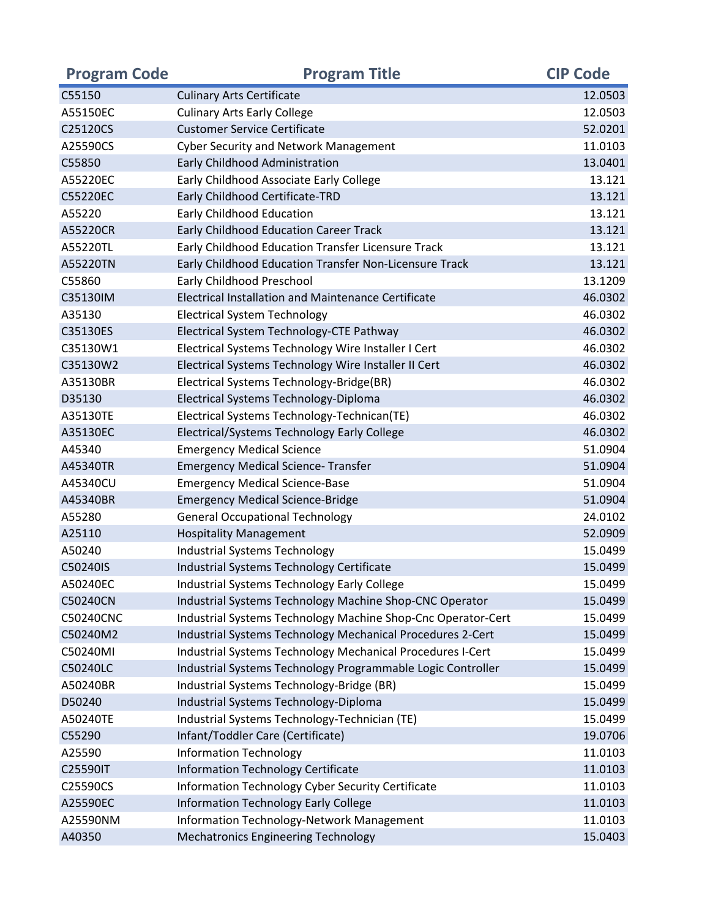| <b>Program Code</b> | <b>Program Title</b>                                         | <b>CIP Code</b> |
|---------------------|--------------------------------------------------------------|-----------------|
| C55150              | <b>Culinary Arts Certificate</b>                             | 12.0503         |
| A55150EC            | <b>Culinary Arts Early College</b>                           | 12.0503         |
| C25120CS            | <b>Customer Service Certificate</b>                          | 52.0201         |
| A25590CS            | <b>Cyber Security and Network Management</b>                 | 11.0103         |
| C55850              | Early Childhood Administration                               | 13.0401         |
| A55220EC            | Early Childhood Associate Early College                      | 13.121          |
| C55220EC            | Early Childhood Certificate-TRD                              | 13.121          |
| A55220              | Early Childhood Education                                    | 13.121          |
| A55220CR            | <b>Early Childhood Education Career Track</b>                | 13.121          |
| A55220TL            | Early Childhood Education Transfer Licensure Track           | 13.121          |
| A55220TN            | Early Childhood Education Transfer Non-Licensure Track       | 13.121          |
| C55860              | Early Childhood Preschool                                    | 13.1209         |
| C35130IM            | <b>Electrical Installation and Maintenance Certificate</b>   | 46.0302         |
| A35130              | <b>Electrical System Technology</b>                          | 46.0302         |
| C35130ES            | Electrical System Technology-CTE Pathway                     | 46.0302         |
| C35130W1            | Electrical Systems Technology Wire Installer I Cert          | 46.0302         |
| C35130W2            | Electrical Systems Technology Wire Installer II Cert         | 46.0302         |
| A35130BR            | Electrical Systems Technology-Bridge(BR)                     | 46.0302         |
| D35130              | Electrical Systems Technology-Diploma                        | 46.0302         |
| A35130TE            | Electrical Systems Technology-Technican(TE)                  | 46.0302         |
| A35130EC            | Electrical/Systems Technology Early College                  | 46.0302         |
| A45340              | <b>Emergency Medical Science</b>                             | 51.0904         |
| A45340TR            | <b>Emergency Medical Science- Transfer</b>                   | 51.0904         |
| A45340CU            | <b>Emergency Medical Science-Base</b>                        | 51.0904         |
| A45340BR            | <b>Emergency Medical Science-Bridge</b>                      | 51.0904         |
| A55280              | <b>General Occupational Technology</b>                       | 24.0102         |
| A25110              | <b>Hospitality Management</b>                                | 52.0909         |
| A50240              | <b>Industrial Systems Technology</b>                         | 15.0499         |
| C50240IS            | Industrial Systems Technology Certificate                    | 15.0499         |
| A50240EC            | Industrial Systems Technology Early College                  | 15.0499         |
| C50240CN            | Industrial Systems Technology Machine Shop-CNC Operator      | 15.0499         |
| <b>C50240CNC</b>    | Industrial Systems Technology Machine Shop-Cnc Operator-Cert | 15.0499         |
| C50240M2            | Industrial Systems Technology Mechanical Procedures 2-Cert   | 15.0499         |
| C50240MI            | Industrial Systems Technology Mechanical Procedures I-Cert   | 15.0499         |
| C50240LC            | Industrial Systems Technology Programmable Logic Controller  | 15.0499         |
| A50240BR            | Industrial Systems Technology-Bridge (BR)                    | 15.0499         |
| D50240              | Industrial Systems Technology-Diploma                        | 15.0499         |
| A50240TE            | Industrial Systems Technology-Technician (TE)                | 15.0499         |
| C55290              | Infant/Toddler Care (Certificate)                            | 19.0706         |
| A25590              | <b>Information Technology</b>                                | 11.0103         |
| C25590IT            | <b>Information Technology Certificate</b>                    | 11.0103         |
| C25590CS            | Information Technology Cyber Security Certificate            | 11.0103         |
| A25590EC            | <b>Information Technology Early College</b>                  | 11.0103         |
| A25590NM            | Information Technology-Network Management                    | 11.0103         |
| A40350              | <b>Mechatronics Engineering Technology</b>                   | 15.0403         |